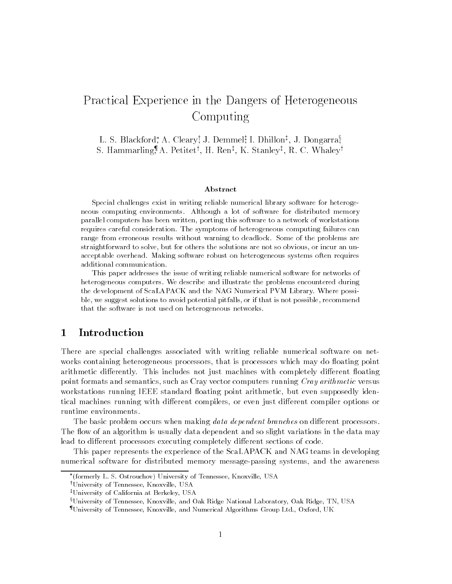# Properties in the Dangers of Beta in the Dangers of Beta in the Dangers of Beta in the Dangers of Beta in the Dangers of Beta in the Dangers of Beta in the Dangers of Beta in the Dangers of Beta in the Dangers of Beta in t Computing

L. S. Blackford, A. Cleary, J. Demmel, I. Dmillont, J. Dongarra; S. Hammarning, A. Petitet , H. Kent, K. Stanleyt, K. C. Whaley

#### Abstract

Special challenges exist in writing reliable numerical library software for heterogeneous computing environments. Although a lot of software for distributed memory parallel computers has been written, porting this software to a network of workstations requires careful consideration. The symptoms of heterogeneous computing failures can range from erroneous results without warning to deadlock. Some of the problems are straightforward to solve, but for others the solutions are not so obvious, or incur an unacceptable overhead. Making software robust on heterogeneous systems often requires additional communication.

This paper addresses the issue of writing reliable numerical software for networks of heterogeneous computers. We describe and illustrate the problems encountered during the development of ScaLAPACK and the NAG Numerical PVM Library. Where possible, we suggest solutions to avoid potential pitfalls, or if that is not possible, recommend that the software is not used on heterogeneous networks.

#### $\mathbf{1}$ **Introduction**

There are special challenges associated with writing reliable numerical software on networks containing heterogeneous processors, that is processors which may do floating point arithmetic differently. This includes not just machines with completely different floating point formats and semantics, such as Cray vector computers running Cray arithmetic versus workstations running IEEE standard floating point arithmetic, but even supposedly identical machines running with different compilers, or even just different compiler options or runtime environments.

The basic problem occurs when making *data dependent branches* on different processors. The flow of an algorithm is usually data dependent and so slight variations in the data may lead to different processors executing completely different sections of code.

This paper represents the experience of the ScaLAPACK and NAG teams in developing numerical software for distributed memory message-passing systems, and the awareness

(formerly L. S. Ostrouchov) University of Tennessee, Knoxville, USA

<sup>&</sup>lt;sup>†</sup>University of Tennessee, Knoxville, USA

<sup>&</sup>lt;sup>‡</sup>University of California at Berkeley, USA

xUniversity of Tennessee, Knoxville, and Oak Ridge National Laboratory, Oak Ridge, TN, USA

<sup>{</sup>University of Tennessee, Knoxville, and Numerical Algorithms Group Ltd., Oxford, UK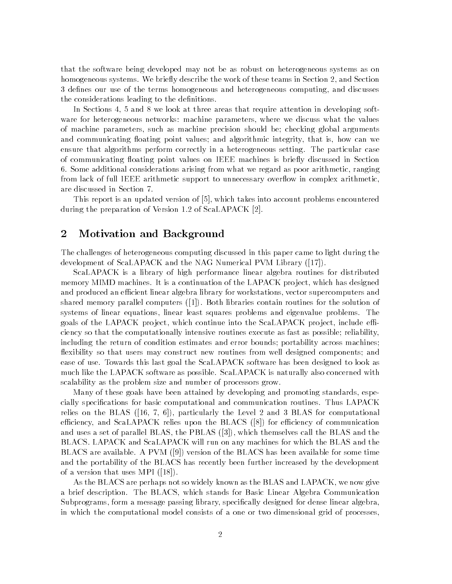that the software being developed may not be as robust on heterogeneous systems as on homogeneous systems. We briefly describe the work of these teams in Section 2, and Section 3 defines our use of the terms homogeneous and heterogeneous computing, and discusses the considerations leading to the definitions.

In Sections 4, 5 and 8 we look at three areas that require attention in developing software for heterogeneous networks: machine parameters, where we discuss what the values of machine parameters, such as machine precision should be; checking global arguments and communicating floating point values; and algorithmic integrity, that is, how can we ensure that algorithms perform correctly in a heterogeneous setting. The particular case of communicating floating point values on IEEE machines is briefly discussed in Section 6. Some additional considerations arising from what we regard as poor arithmetic, ranging from lack of full IEEE arithmetic support to unnecessary overflow in complex arithmetic, are discussed in Section 7.

This report is an updated version of [5], which takes into account problems encountered during the preparation of Version 1.2 of ScaLAPACK [2].

#### 2 Motivation and Background

The challenges of heterogeneous computing discussed in this paper came to light during the development of ScaLAPACK and the NAG Numerical PVM Library ([17]).

ScaLAPACK is a library of high performance linear algebra routines for distributed memory MIMD machines. It is a continuation of the LAPACK project, which has designed and produced an efficient linear algebra library for workstations, vector supercomputers and shared memory parallel computers  $([1])$ . Both libraries contain routines for the solution of systems of linear equations, linear least squares problems and eigenvalue problems. The goals of the LAPACK project, which continue into the ScaLAPACK project, include efficiency so that the computationally intensive routines execute as fast as possible; reliability, including the return of condition estimates and error bounds; portability across machines; flexibility so that users may construct new routines from well designed components; and ease of use. Towards this last goal the ScaLAPACK software has been designed to look as much like the LAPACK software as possible. ScaLAPACK is naturally also concerned with scalability as the problem size and number of processors grow.

Many of these goals have been attained by developing and promoting standards, especially specications for basic computational and communication routines. Thus LAPACK relies on the BLAS  $([16, 7, 6])$ , particularly the Level 2 and 3 BLAS for computational efficiency, and ScaLAPACK relies upon the BLACS  $([8])$  for efficiency of communication and uses a set of parallel BLAS, the PBLAS ([3]), which themselves call the BLAS and the BLACS. LAPACK and ScaLAPACK will run on any machines for which the BLAS and the BLACS are available. A PVM ([9]) version of the BLACS has been available for some time and the portability of the BLACS has recently been further increased by the development of a version that uses MPI ([18]).

As the BLACS are perhaps not so widely known as the BLAS and LAPACK, we now give a brief description. The BLACS, which stands for Basic Linear Algebra Communication Subprograms, form a message passing library, specically designed for dense linear algebra, in which the computational model consists of a one or two dimensional grid of processes,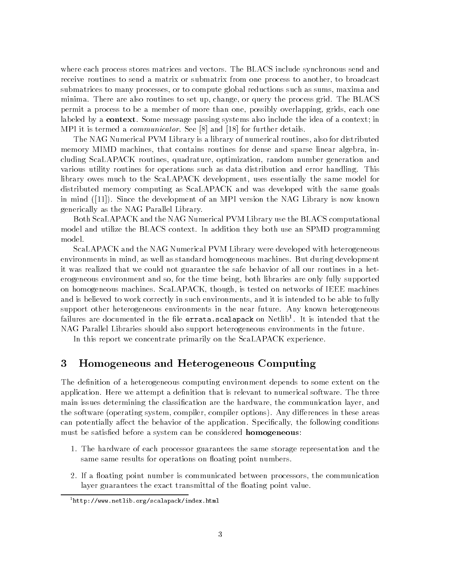where each process stores matrices and vectors. The BLACS include synchronous send and receive routines to send a matrix or submatrix from one process to another, to broadcast submatrices to many processes, or to compute global reductions such as sums, maxima and minima. There are also routines to set up, change, or query the process grid. The BLACS permit a process to be a member of more than one, possibly overlapping, grids, each one labeled by a context. Some message passing systems also include the idea of a context; in MPI it is termed a communicator. See [8] and [18] for further details.

The NAG Numerical PVM Library is a library of numerical routines, also for distributed memory MIMD machines, that contains routines for dense and sparse linear algebra, including ScaLAPACK routines, quadrature, optimization, random number generation and various utility routines for operations such as data distribution and error handling. This library owes much to the ScaLAPACK development, uses essentially the same model for distributed memory computing as ScaLAPACK and was developed with the same goals in mind ([11]). Since the development of an MPI version the NAG Library is now known generically as the NAG Parallel Library.

Both ScaLAPACK and the NAG Numerical PVM Library use the BLACS computational model and utilize the BLACS context. In addition they both use an SPMD programming model.

ScaLAPACK and the NAG Numerical PVM Library were developed with heterogeneous environments in mind, as well as standard homogeneous machines. But during development it was realized that we could not guarantee the safe behavior of all our routines in a heterogeneous environment and so, for the time being, both libraries are only fully supported on homogeneous machines. ScaLAPACK, though, is tested on networks of IEEE machines and is believed to work correctly in such environments, and it is intended to be able to fully support other heterogeneous environments in the near future. Any known heterogeneous ranures are documented in the life **errata.scalapack** on Nethb<sup>-</sup>. It is intended that the NAG Parallel Libraries should also support heterogeneous environments in the future.

In this report we concentrate primarily on the ScaLAPACK experience.

# 3 Homogeneous and Heterogeneous Computing

The definition of a heterogeneous computing environment depends to some extent on the application. Here we attempt a definition that is relevant to numerical software. The three main issues determining the classification are the hardware, the communication layer, and the software (operating system, compiler, compiler options). Any differences in these areas can potentially affect the behavior of the application. Specifically, the following conditions must be satisfied before a system can be considered **homogeneous**:

- 1. The hardware of each processor guarantees the same storage representation and the same same results for operations on floating point numbers.
- 2. If a floating point number is communicated between processors, the communication layer guarantees the exact transmittal of the floating point value.

 $^1$ http://www.netlib.org/scalapack/index.html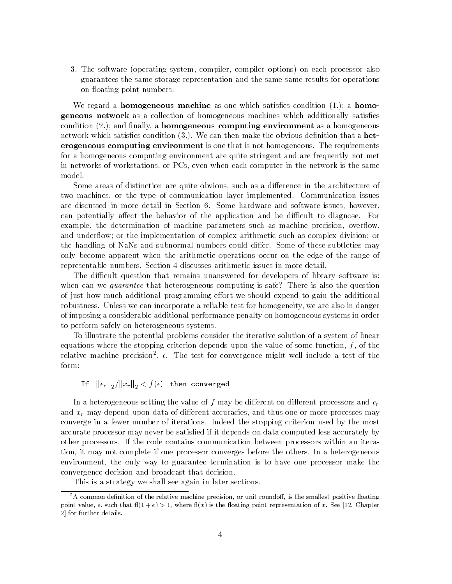3. The software (operating system, compiler, compiler options) on each processor also guarantees the same storage representation and the same same results for operations on floating point numbers.

We regard a **homogeneous machine** as one which satisfies condition  $(1.)$ ; a **homo**geneous network as a collection of homogeneous machines which additionally satises condition  $(2)$ ; and finally, a **homogeneous computing environment** as a homogeneous network which satisfies condition  $(3.)$ . We can then make the obvious definition that a **het**erogeneous computing environment is one that is not homogeneous. The requirements for a homogeneous computing environment are quite stringent and are frequently not met in networks of workstations, or PCs, even when each computer in the network is the same model.

Some areas of distinction are quite obvious, such as a difference in the architecture of two machines, or the type of communication layer implemented. Communication issues are discussed in more detail in Section 6. Some hardware and software issues, however, can potentially affect the behavior of the application and be difficult to diagnose. For example, the determination of machine parameters such as machine precision, overflow, and underflow; or the implementation of complex arithmetic such as complex division; or the handling of NaNs and subnormal numbers could differ. Some of these subtleties may only become apparent when the arithmetic operations occur on the edge of the range of representable numbers. Section 4 discusses arithmetic issues in more detail.

The difficult question that remains unanswered for developers of library software is: when can we *quarantee* that heterogeneous computing is safe? There is also the question of just how much additional programming effort we should expend to gain the additional robustness. Unless we can incorporate a reliable test for homogeneity, we are also in danger of imposing a considerable additional performance penalty on homogeneous systems in order to perform safely on heterogeneous systems.

To illustrate the potential problems consider the iterative solution of a system of linear equations where the stopping criterion depends upon the value of some function,  $f$ , of the relative machine precision  $, \, \epsilon. \,$  The test for convergence might well include a test of the  $$ form:

#### 2 = 2 = 11 then converged to the converged to the convergence of the convergence of the convergence of the convergence of the convergence of the convergence of the convergence of the convergence of the convergence of the c

In a heterogeneous setting the value of f may be different on different processors and  $e_r$ and  $x_r$  may depend upon data of different accuracies, and thus one or more processes may converge in a fewer number of iterations. Indeed the stopping criterion used by the most accurate processor may never be satisfied if it depends on data computed less accurately by other processors. If the code contains communication between processors within an iteration, it may not complete if one processor converges before the others. In a heterogeneous environment, the only way to guarantee termination is to have one processor make the convergence decision and broadcast that decision.

This is a strategy we shall see again in later sections.

 ${}^2A$  common definition of the relative machine precision, or unit roundoff, is the smallest positive floating point value,  $\epsilon$ , such that  $f(1 + \epsilon) > 1$ , where  $f(x)$  is the floating point representation of x. See [12, Chapter 2] for further details.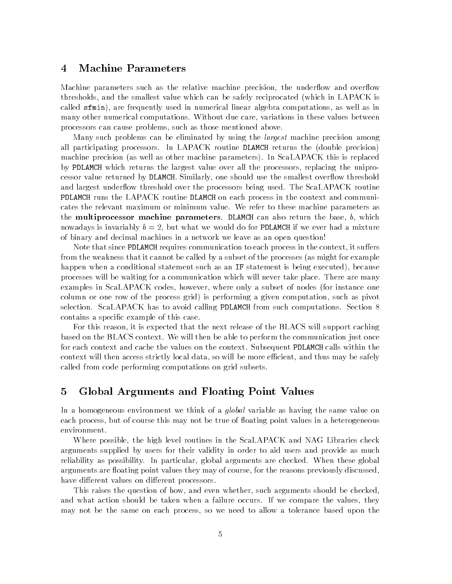#### 4 Machine Parameters

Machine parameters such as the relative machine precision, the underflow and overflow thresholds, and the smallest value which can be safely reciprocated (which in LAPACK is called sfmin), are frequently used in numerical linear algebra computations, as well as in many other numerical computations. Without due care, variations in these values between processors can cause problems, such as those mentioned above.

Many such problems can be eliminated by using the *largest* machine precision among all participating processors. In LAPACK routine DLAMCH returns the (double precision) machine precision (as well as other machine parameters). In ScaLAPACK this is replaced by PDLAMCH which returns the largest value over all the processors, replacing the uniprocessor value returned by DLAMCH. Similarly, one should use the smallest overflow threshold and largest underflow threshold over the processors being used. The ScaLAPACK routine PDLAMCH runs the LAPACK routine DLAMCH on each process in the context and communicates the relevant maximum or minimum value. We refer to these machine parameters as the **multiprocessor machine parameters.** DLAMCH can also return the base,  $b$ , which nowadays is invariably  $b = 2$ , but what we would do for PDLAMCH if we ever had a mixture of binary and decimal machines in a network we leave as an open question!

Note that since PDLAMCH requires communication to each process in the context, it suffers from the weakness that it cannot be called by a subset of the processes (as might for example happen when a conditional statement such as an IF statement is being executed), because processes will be waiting for a communication which will never take place. There are many examples in ScaLAPACK codes, however, where only a subset of nodes (for instance one column or one row of the process grid) is performing a given computation, such as pivot selection. ScaLAPACK has to avoid calling PDLAMCH from such computations. Section 8 contains a specic example of this case.

For this reason, it is expected that the next release of the BLACS will support caching based on the BLACS context. We will then be able to perform the communication just once for each context and cache the values on the context. Subsequent PDLAMCH calls within the context will then access strictly local data, so will be more efficient, and thus may be safely called from code performing computations on grid subsets.

## 5 Global Arguments and Floating Point Values

In a homogeneous environment we think of a *global* variable as having the same value on each process, but of course this may not be true of floating point values in a heterogeneous environment.

Where possible, the high level routines in the ScaLAPACK and NAG Libraries check arguments supplied by users for their validity in order to aid users and provide as much reliability as possibility. In particular, global arguments are checked. When these global arguments are floating point values they may of course, for the reasons previously discussed, have different values on different processors.

This raises the question of how, and even whether, such arguments should be checked, and what action should be taken when a failure occurs. If we compare the values, they may not be the same on each process, so we need to allow a tolerance based upon the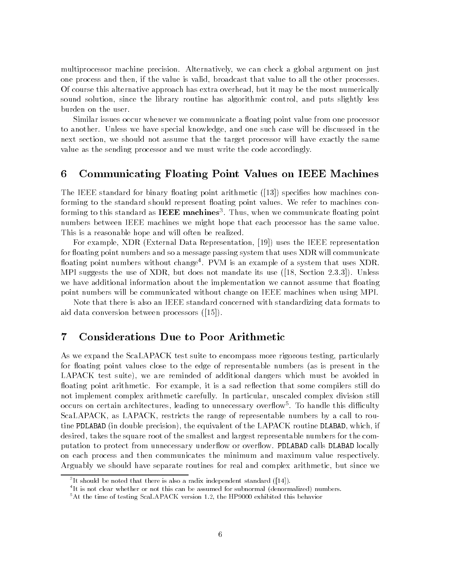multiprocessor machine precision. Alternatively, we can check a global argument on just one process and then, if the value is valid, broadcast that value to all the other processes. Of course this alternative approach has extra overhead, but it may be the most numerically sound solution, since the library routine has algorithmic control, and puts slightly less burden on the user.

Similar issues occur whenever we communicate a floating point value from one processor to another. Unless we have special knowledge, and one such case will be discussed in the next section, we should not assume that the target processor will have exactly the same value as the sending processor and we must write the code accordingly.

#### 6 Communicating Floating Point Values on IEEE Machines

The IEEE standard for binary floating point arithmetic  $(13)$  specifies how machines conforming to the standard should represent floating point values. We refer to machines conforming to this standard as IEEE machines<sup>s</sup>. Thus, when we communicate noating point numbers between IEEE machines we might hope that each processor has the same value. This is a reasonable hope and will often be realized.

For example, XDR (External Data Representation, [19]) uses the IEEE representation for floating point numbers and so a message passing system that uses XDR will communicate oating point numbers without change4 . PVM is an example of a system that uses XDR. MPI suggests the use of XDR, but does not mandate its use ([18, Section 2.3.3]). Unless we have additional information about the implementation we cannot assume that floating point numbers will be communicated without change on IEEE machines when using MPI.

Note that there is also an IEEE standard concerned with standardizing data formats to aid data conversion between processors ([15]).

#### $\overline{7}$ 7 Considerations Due to Poor Arithmetic

As we expand the ScaLAPACK test suite to encompass more rigorous testing, particularly for floating point values close to the edge of representable numbers (as is present in the LAPACK test suite), we are reminded of additional dangers which must be avoided in floating point arithmetic. For example, it is a sad reflection that some compilers still do not implement complex arithmetic carefully. In particular, unscaled complex division still occurs on certain architectures, leading to unnecessary overhow". To handle this difficulty ScaLAPACK, as LAPACK, restricts the range of representable numbers by a call to routine PDLABAD (in double precision), the equivalent of the LAPACK routine DLABAD, which, if desired, takes the square root of the smallest and largest representable numbers for the computation to protect from unnecessary underflow or overflow. PDLABAD calls DLABAD locally on each process and then communicates the minimum and maximum value respectively. Arguably we should have separate routines for real and complex arithmetic, but since we

Tt should be noted that there is also a radix independent standard ([14]).

<sup>4</sup> It is not clear whether or not this can be assumed for subnormal (denormalized) numbers.

<sup>5</sup>At the time of testing ScaLAPACK version 1.2, the HP9000 exhibited this behavior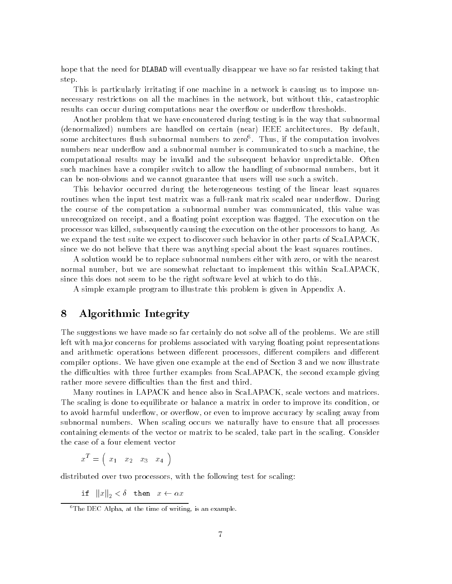hope that the need for DLABAD will eventually disappear we have so far resisted taking that step.

This is particularly irritating if one machine in a network is causing us to impose unnecessary restrictions on all the machines in the network, but without this, catastrophic results can occur during computations near the overflow or underflow thresholds.

Another problem that we have encountered during testing is in the way that subnormal (denormalized) numbers are handled on certain (near) IEEE architectures. By default, some architectures hush subnormal numbers to zero°. Thus, if the computation involves numbers near underflow and a subnormal number is communicated to such a machine, the computational results may be invalid and the subsequent behavior unpredictable. Often such machines have a compiler switch to allow the handling of subnormal numbers, but it can be non-obvious and we cannot guarantee that users will use such a switch.

This behavior occurred during the heterogeneous testing of the linear least squares routines when the input test matrix was a full-rank matrix scaled near underflow. During the course of the computation a subnormal number was communicated, this value was unrecognized on receipt, and a floating point exception was flagged. The execution on the processor was killed, subsequently causing the execution on the other processors to hang. As we expand the test suite we expect to discover such behavior in other parts of ScaLAPACK, since we do not believe that there was anything special about the least squares routines.

A solution would be to replace subnormal numbers either with zero, or with the nearest normal number, but we are somewhat reluctant to implement this within ScaLAPACK, since this does not seem to be the right software level at which to do this.

A simple example program to illustrate this problem is given in Appendix A.

### 8 Algorithmic Integrity

The suggestions we have made so far certainly do not solve all of the problems. We are still left with major concerns for problems associated with varying floating point representations and arithmetic operations between different processors, different compilers and different compiler options. We have given one example at the end of Section 3 and we now illustrate the difficulties with three further examples from ScaLAPACK, the second example giving rather more severe difficulties than the first and third.

Many routines in LAPACK and hence also in ScaLAPACK, scale vectors and matrices. The scaling is done to equilibrate or balance a matrix in order to improve its condition, or to avoid harmful underflow, or overflow, or even to improve accuracy by scaling away from subnormal numbers. When scaling occurs we naturally have to ensure that all processes containing elements of the vector or matrix to be scaled, take part in the scaling. Consider the case of a four element vector

$$
x^T = \left( \begin{array}{ccc} x_1 & x_2 & x_3 & x_4 \end{array} \right)
$$

distributed over two processors, with the following test for scaling:

 $\mathbb{R}^n$  if and  $\mathbb{R}^n$  if  $\mathbb{R}^n$  if  $\mathbb{R}^n$  if  $\mathbb{R}^n$  if  $\mathbb{R}^n$  if  $\mathbb{R}^n$ 

The DEC Alpha, at the time of writing, is an example.  $\blacksquare$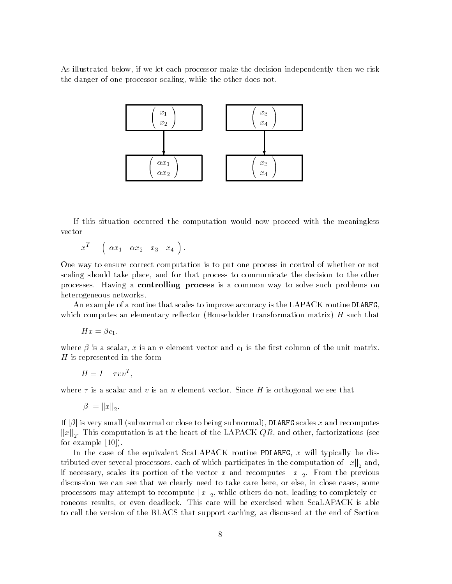As illustrated below, if we let each processor make the decision independently then we risk the danger of one processor scaling, while the other does not.



If this situation occurred the computation would now proceed with the meaningless vector

 $x^T = \begin{pmatrix} \alpha x_1 & \alpha x_2 & x_3 & x_4 \end{pmatrix}$ .

One way to ensure correct computation is to put one process in control of whether or not scaling should take place, and for that process to communicate the decision to the other processes. Having a controlling process is a common way to solve such problems on heterogeneous networks.

An example of a routine that scales to improve accuracy is the LAPACK routine DLARFG, which computes an elementary reflector (Householder transformation matrix)  $H$  such that

$$
Hx = \beta e_1,
$$

where  $\beta$  is a scalar, x is an n element vector and  $e_1$  is the first column of the unit matrix. H is represented in the form

$$
H = I - \tau v v^T,
$$

where  $\tau$  is a scalar and v is an n element vector. Since H is orthogonal we see that

$$
|\beta| = ||x||_2.
$$

If  $|\beta|$  is very small (subnormal or close to being subnormal), DLARFG scales x and recomputes . This computation is at the factorization is at the LAPACK ALL and other, factorizations (see for example [10]).

In the case of the equivalent ScaLAPACK routine PDLARFG,  $x$  will typically be distributed over several processors, each of which participates in the computation of kxk (kx k) – if necessary, scales its portion of the vector x and recomputes  $\|x\|_2$  , from the previous  $x$ discussion we can see that we clearly need to take care here, or else, in close cases, some  $\mathbf{1}$  recompute  $\mathbf{1}$  attempt to recompute kink  $\mathbf{1}|\mathbf{2}$  , while others do not, leading to completely erroneous results, or even deadlock. This care will be exercised when ScaLAPACK is able to call the version of the BLACS that support caching, as discussed at the end of Section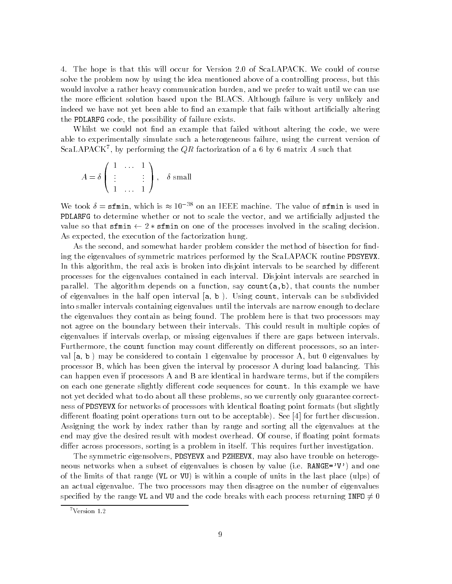4. The hope is that this will occur for Version 2.0 of ScaLAPACK. We could of course solve the problem now by using the idea mentioned above of a controlling process, but this would involve a rather heavy communication burden, and we prefer to wait until we can use the more efficient solution based upon the BLACS. Although failure is very unlikely and indeed we have not yet been able to find an example that fails without artificially altering the PDLARFG code, the possibility of failure exists.

Whilst we could not find an example that failed without altering the code, we were able to experimentally simulate such a heterogeneous failure, using the current version of ScalAPACK<sup>7</sup>, by performing the QR factorization of a 6 by 6 matrix A such that

$$
A = \delta \begin{pmatrix} 1 & \cdots & 1 \\ \vdots & & \vdots \\ 1 & \cdots & 1 \end{pmatrix}, \quad \delta \text{ small}
$$

We took  $\delta = \text{sfmin}$ , which is  $\approx 10^{-38}$  on an IEEE machine. The value of sfmin is used in PDLARFG to determine whether or not to scale the vector, and we artificially adjusted the value so that sfmin  $\leftarrow 2$  \* sfmin on one of the processes involved in the scaling decision. As expected, the execution of the factorization hung.

As the second, and somewhat harder problem consider the method of bisection for finding the eigenvalues of symmetric matrices performed by the ScaLAPACK routine PDSYEVX. In this algorithm, the real axis is broken into disjoint intervals to be searched by different processes for the eigenvalues contained in each interval. Disjoint intervals are searched in parallel. The algorithm depends on a function, say count  $(a,b)$ , that counts the number of eigenvalues in the half open interval [a, b ). Using count, intervals can be subdivided into smaller intervals containing eigenvalues until the intervals are narrow enough to declare the eigenvalues they contain as being found. The problem here is that two processors may not agree on the boundary between their intervals. This could result in multiple copies of eigenvalues if intervals overlap, or missing eigenvalues if there are gaps between intervals. Furthermore, the count function may count differently on different processors, so an interval [a, b ) may be considered to contain 1 eigenvalue by processor A, but 0 eigenvalues by processor B, which has been given the interval by processor A during load balancing. This can happen even if processors A and B are identical in hardware terms, but if the compilers on each one generate slightly different code sequences for count. In this example we have not yet decided what to do about all these problems, so we currently only guarantee correctness of PDSYEVX for networks of processors with identical floating point formats (but slightly different floating point operations turn out to be acceptable). See [4] for further discussion. Assigning the work by index rather than by range and sorting all the eigenvalues at the end may give the desired result with modest overhead. Of course, if floating point formats differ across processors, sorting is a problem in itself. This requires further investigation.

The symmetric eigensolvers, PDSYEVX and PZHEEVX, may also have trouble on heterogeneous networks when a subset of eigenvalues is chosen by value (i.e. RANGE='V') and one of the limits of that range (VL or VU) is within a couple of units in the last place (ulps) of an actual eigenvalue. The two processors may then disagree on the number of eigenvalues specified by the range VL and VU and the code breaks with each process returning INFO  $\neq 0$ 

<sup>7</sup>Version 1.2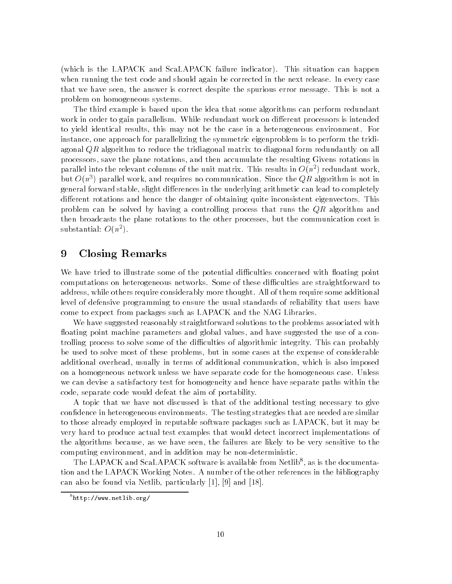(which is the LAPACK and ScaLAPACK failure indicator). This situation can happen when running the test code and should again be corrected in the next release. In every case that we have seen, the answer is correct despite the spurious error message. This is not a problem on homogeneous systems.

The third example is based upon the idea that some algorithms can perform redundant work in order to gain parallelism. While redundant work on different processors is intended to yield identical results, this may not be the case in a heterogeneous environment. For instance, one approach for parallelizing the symmetric eigenproblem is to perform the tridiagonal  $QR$  algorithm to reduce the tridiagonal matrix to diagonal form redundantly on all processors, save the plane rotations, and then accumulate the resulting Givens rotations in parallel into the relevant columns of the unit matrix. This results in  $O(n^{\gamma})$  redundant work, but  $O(n^2)$  parallel work, and requires no communication. Since the  $QR$  algorithm is not in general forward stable, slight differences in the underlying arithmetic can lead to completely different rotations and hence the danger of obtaining quite inconsistent eigenvectors. This problem can be solved by having a controlling process that runs the QR algorithm and then broadcasts the plane rotations to the other processes, but the communication cost is substantial:  $\cup$ ( $n^-$ ).  $-$ 

#### 9 Closing Remarks

We have tried to illustrate some of the potential difficulties concerned with floating point computations on heterogeneous networks. Some of these difficulties are straightforward to address, while others require considerably more thought. All of them require some additional level of defensive programming to ensure the usual standards of reliability that users have come to expect from packages such as LAPACK and the NAG Libraries.

We have suggested reasonably straightforward solutions to the problems associated with floating point machine parameters and global values, and have suggested the use of a controlling process to solve some of the difficulties of algorithmic integrity. This can probably be used to solve most of these problems, but in some cases at the expense of considerable additional overhead, usually in terms of additional communication, which is also imposed on a homogeneous network unless we have separate code for the homogeneous case. Unless we can devise a satisfactory test for homogeneity and hence have separate paths within the code, separate code would defeat the aim of portability.

A topic that we have not discussed is that of the additional testing necessary to give condence in heterogeneous environments. The testing strategies that are needed are similar to those already employed in reputable software packages such as LAPACK, but it may be very hard to produce actual test examples that would detect incorrect implementations of the algorithms because, as we have seen, the failures are likely to be very sensitive to the computing environment, and in addition may be non-deterministic.

The LAPACK and ScaLAPACK software is available from Nethb<sup>-</sup>, as is the documentation and the LAPACK Working Notes. A number of the other references in the bibliography can also be found via Netlib, particularly [1], [9] and [18].

<sup>8</sup>http://www.netlib.org/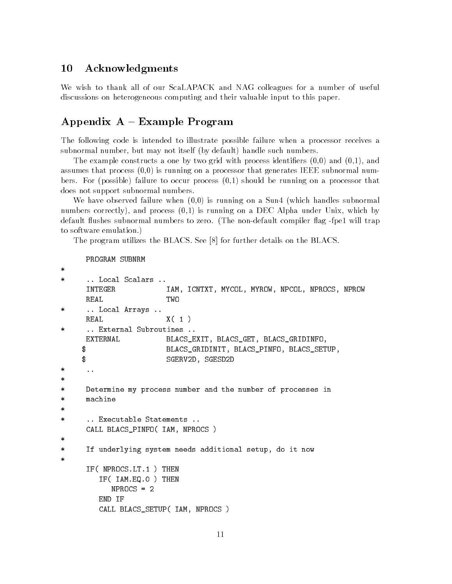#### $10$ Acknowledgments

We wish to thank all of our ScaLAPACK and NAG colleagues for a number of useful discussions on heterogeneous computing and their valuable input to this paper.

## Appendix  $A - Example Program$

The following code is intended to illustrate possible failure when a processor receives a subnormal number, but may not itself (by default) handle such numbers.

The example constructs a one by two grid with process identifiers  $(0,0)$  and  $(0,1)$ , and assumes that process  $(0,0)$  is running on a processor that generates IEEE subnormal numbers. For (possible) failure to occur process  $(0,1)$  should be running on a processor that does not support subnormal numbers.

We have observed failure when  $(0,0)$  is running on a Sun4 (which handles subnormal numbers correctly), and process  $(0,1)$  is running on a DEC Alpha under Unix, which by default flushes subnormal numbers to zero. (The non-default compiler flag-fpe1 will trap to software emulation.)

The program utilizes the BLACS. See [8] for further details on the BLACS.

PROGRAM SUBNRM

 $\ast$ 

```
.. Local Scalars
\starINTEGER TAM, ICNTXT, MYCOL, MYROW, NPCOL, NPROCS, NPROW
      REAL TWO
      .. Local Arrays ..
      REAL
                         X(1).. External Subroutines ..
      EXTERNAL
                         EXTERNAL BLACS_EXIT, BLACS_GET, BLACS_GRIDINFO,
     $ BLACS_GRIDINIT, BLACS_PINFO, BLACS_SETUP,
     $
                         SGERV2D, SGESD2D
\ast\ddot{\phantom{a}}\ast\astDetermine my process number and the number of processes in
      machine
\ast.. Executable Statements ..
      CALL BLACS_PINFO( IAM, NPROCS )
* If underlying system needs additional setup, do it now
\astIF( NPROCS.LT.1 ) THEN
         IF( IAM.EQ.0 ) THEN
            NPROCS = 2END IF
         CALL BLACS_SETUP( IAM, NPROCS )
```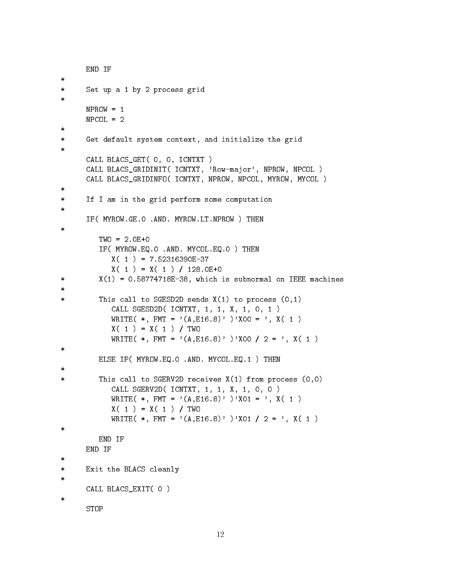```
END IF
\ast\pmb{\ast}Set up a 1 by 2 process grid
      NPROW = 1NPCOL = 2\astGet default system context, and initialize the grid
\starCALL BLACS_GET( 0, 0, ICNTXT )
      CALL BLACS_GRIDINIT( ICNTXT, 'Row-major', NPROW, NPCOL )
      CALL BLACS_GRIDINFO( ICNTXT, NPROW, NPCOL, MYROW, MYCOL )
      If I am in the grid perform some computation
\ast\astIF( MYROW.GE.0 .AND. MYROW.LT.NPROW ) THEN
\starTWO = 2.0E+0
         IF( MYROW.EQ.0 .AND. MYCOL.EQ.0 ) THEN
            X(1) = 7.52316390E-37X(1) = X(1) / 128.0E+0X(1) = 0.58774718E-38, which is subnormal on IEEE machines
\ast\ast\starThis call to SGESD2D sends X(1) to process (0,1)CALL SGESD2D( ICNTXT, 1, 1, X, 1, 0, 1 )
            WRITE( *, FMT = '(A,E16.8)' )'XOO = ', X( 1)
            X(1) = X(1) / TW0WRITE( *, FMT = '(A, E16.8)' )'XOO / 2 = ', X(1)\astELSE IF( MYROW.EQ.0 .AND. MYCOL.EQ.1 ) THEN
\starThis call to SGERV2D receives X(1) from process (0,0)CALL SGERV2D( ICNTXT, 1, 1, X, 1, 0, 0 )
            WRITE( *, FMT = '(A, E16.8)' )'XO1 = ', X( 1)
            X(1) = X(1) / TW0WRITE( *, FMT = '(A, E16.8)' )'XO1 / 2 = ', X( 1)
\astEND IF
      END IF
      Exit the BLACS cleanly
\starCALL BLACS_EXIT( 0 )
\ast
```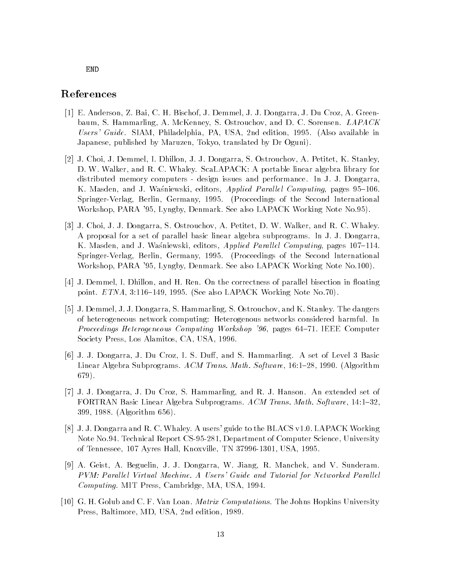## References

- [1] E. Anderson, Z. Bai, C. H. Bischof, J. Demmel, J. J. Dongarra, J. Du Croz, A. Greenbaum, S. Hammarling, A. McKenney, S. Ostrouchov, and D. C. Sorensen. LAPACK Users' Guide. SIAM, Philadelphia, PA, USA, 2nd edition, 1995. (Also available in Japanese, published by Maruzen, Tokyo, translated by Dr Oguni).
- [2] J. Choi, J. Demmel, I. Dhillon, J. J. Dongarra, S. Ostrouchov, A. Petitet, K. Stanley, D. W. Walker, and R. C. Whaley. ScaLAPACK: A portable linear algebra library for distributed memory computers - design issues and performance. In J. J. Dongarra, K. Masden, and J. Wasniewski, editors, Applied Parallel Computing, pages 95–106. Springer-Verlag, Berlin, Germany, 1995. (Proceedings of the Second International Workshop, PARA '95, Lyngby, Denmark. See also LAPACK Working Note No.95).
- [3] J. Choi, J. J. Dongarra, S. Ostrouchov, A. Petitet, D. W. Walker, and R. C. Whaley. A proposal for a set of parallel basic linear algebra subprograms. In J. J. Dongarra, K. Masden, and J. Waśniewski, editors, Applied Parallel Computing, pages 107–114. Springer-Verlag, Berlin, Germany, 1995. (Proceedings of the Second International Workshop, PARA '95, Lyngby, Denmark. See also LAPACK Working Note No.100).
- [4] J. Demmel, I. Dhillon, and H. Ren. On the correctness of parallel bisection in floating point.  $ETNA$ , 3:116-149, 1995. (See also LAPACK Working Note No.70).
- [5] J. Demmel, J. J. Dongarra, S. Hammarling, S. Ostrouchov, and K. Stanley. The dangers of heterogeneous network computing: Heterogenous networks considered harmful. In Proceedings Heterogeneous Computing Workshop '96, pages  $64-71$ . IEEE Computer Society Press, Los Alamitos, CA, USA, 1996.
- [6] J. J. Dongarra, J. Du Croz, I. S. Duff, and S. Hammarling. A set of Level 3 Basic Linear Algebra Subprograms. ACM Trans. Math. Software, 16:1-28, 1990. (Algorithm 679).
- [7] J. J. Dongarra, J. Du Croz, S. Hammarling, and R. J. Hanson. An extended set of FORTRAN Basic Linear Algebra Subprograms. ACM Trans. Math. Software, 14:1-32, 399, 1988. (Algorithm 656).
- [8] J. J. Dongarra and R. C. Whaley. A users' guide to the BLACS v1.0. LAPACK Working Note No.94. Technical Report CS-95-281, Department of Computer Science, University of Tennessee, 107 Ayres Hall, Knoxville, TN 37996-1301, USA, 1995.
- [9] A. Geist, A. Beguelin, J. J. Dongarra, W. Jiang, R. Manchek, and V. Sunderam. PVM: Parallel Virtual Machine. A Users' Guide and Tutorial for Networked Parallel Computing. MIT Press, Cambridge, MA, USA, 1994.
- [10] G. H. Golub and C. F. Van Loan. *Matrix Computations*. The Johns Hopkins University Press, Baltimore, MD, USA, 2nd edition, 1989.

END